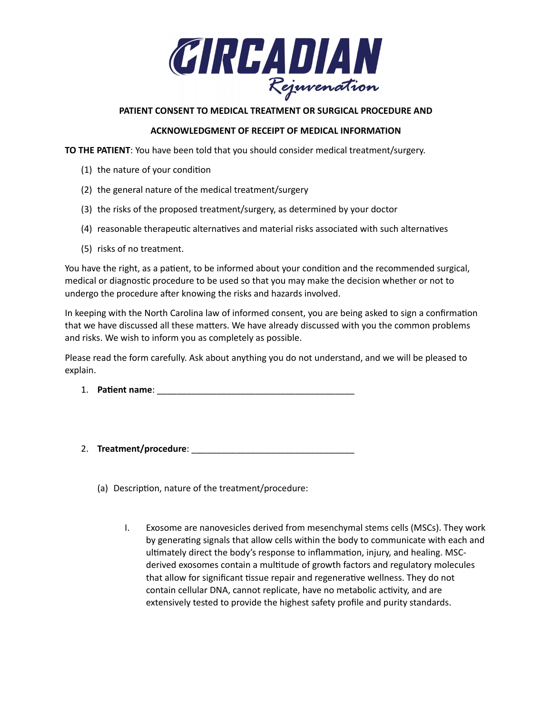

## **PATIENT CONSENT TO MEDICAL TREATMENT OR SURGICAL PROCEDURE AND**

## **ACKNOWLEDGMENT OF RECEIPT OF MEDICAL INFORMATION**

**TO THE PATIENT**: You have been told that you should consider medical treatment/surgery.

- (1) the nature of your condition
- (2) the general nature of the medical treatment/surgery
- (3) the risks of the proposed treatment/surgery, as determined by your doctor
- (4) reasonable therapeutic alternatives and material risks associated with such alternatives
- (5) risks of no treatment.

You have the right, as a patient, to be informed about your condition and the recommended surgical, medical or diagnostic procedure to be used so that you may make the decision whether or not to undergo the procedure after knowing the risks and hazards involved.

In keeping with the North Carolina law of informed consent, you are being asked to sign a confirmation that we have discussed all these matters. We have already discussed with you the common problems and risks. We wish to inform you as completely as possible.

Please read the form carefully. Ask about anything you do not understand, and we will be pleased to explain.

- 1. **Patient name**: \_\_\_\_\_\_\_\_\_\_\_\_\_\_\_\_\_\_\_\_\_\_\_\_\_\_\_\_\_\_\_\_\_\_\_\_\_\_\_\_
- 2. **Treatment/procedure**: \_\_\_\_\_\_\_\_\_\_\_\_\_\_\_\_\_\_\_\_\_\_\_\_\_\_\_\_\_\_\_\_\_
	- (a) Description, nature of the treatment/procedure:
		- I. Exosome are nanovesicles derived from mesenchymal stems cells (MSCs). They work by generating signals that allow cells within the body to communicate with each and ultimately direct the body's response to inflammation, injury, and healing. MSCderived exosomes contain a multitude of growth factors and regulatory molecules that allow for significant tissue repair and regenerative wellness. They do not contain cellular DNA, cannot replicate, have no metabolic activity, and are extensively tested to provide the highest safety profile and purity standards.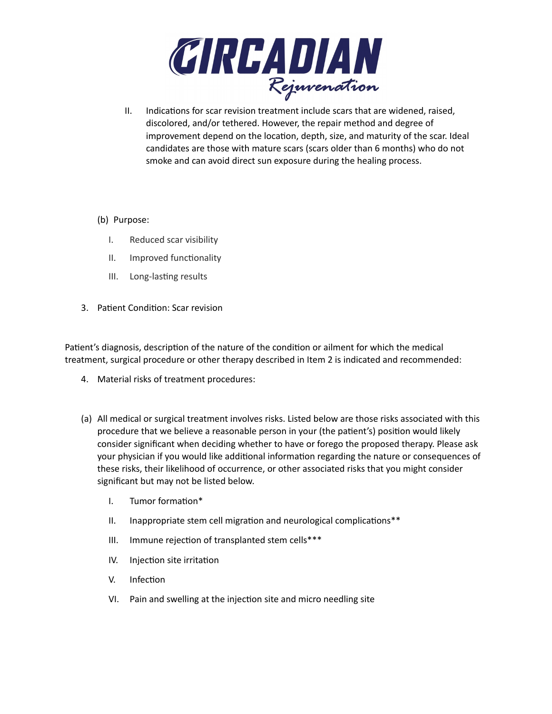

- II. Indications for scar revision treatment include scars that are widened, raised, discolored, and/or tethered. However, the repair method and degree of improvement depend on the location, depth, size, and maturity of the scar. Ideal candidates are those with mature scars (scars older than 6 months) who do not smoke and can avoid direct sun exposure during the healing process.
- (b) Purpose:
	- I. Reduced scar visibility
	- II. Improved functionality
	- III. Long-lasting results
- 3. Patient Condition: Scar revision

Patient's diagnosis, description of the nature of the condition or ailment for which the medical treatment, surgical procedure or other therapy described in Item 2 is indicated and recommended:

- 4. Material risks of treatment procedures:
- (a) All medical or surgical treatment involves risks. Listed below are those risks associated with this procedure that we believe a reasonable person in your (the patient's) position would likely consider significant when deciding whether to have or forego the proposed therapy. Please ask your physician if you would like additional information regarding the nature or consequences of these risks, their likelihood of occurrence, or other associated risks that you might consider significant but may not be listed below.
	- I. Tumor formation\*
	- II. Inappropriate stem cell migration and neurological complications\*\*
	- III. Immune rejection of transplanted stem cells\*\*\*
	- IV. Injection site irritation
	- V. Infection
	- VI. Pain and swelling at the injection site and micro needling site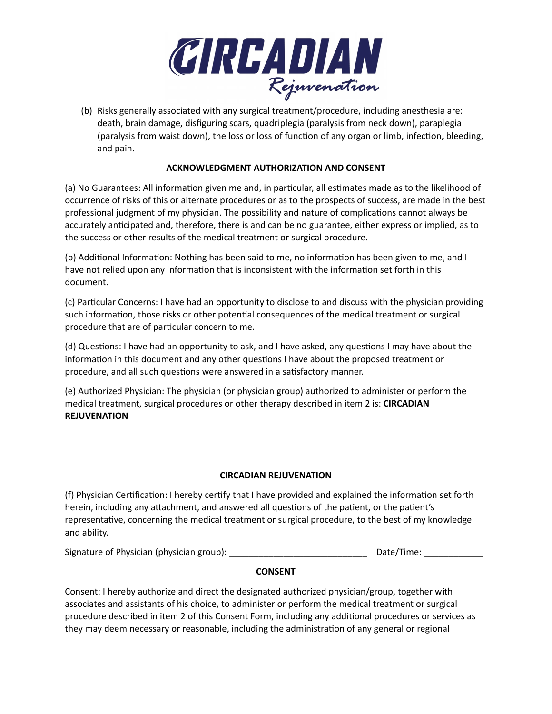

(b) Risks generally associated with any surgical treatment/procedure, including anesthesia are: death, brain damage, disfiguring scars, quadriplegia (paralysis from neck down), paraplegia (paralysis from waist down), the loss or loss of function of any organ or limb, infection, bleeding, and pain.

# **ACKNOWLEDGMENT AUTHORIZATION AND CONSENT**

(a) No Guarantees: All information given me and, in particular, all estimates made as to the likelihood of occurrence of risks of this or alternate procedures or as to the prospects of success, are made in the best professional judgment of my physician. The possibility and nature of complications cannot always be accurately anticipated and, therefore, there is and can be no guarantee, either express or implied, as to the success or other results of the medical treatment or surgical procedure.

(b) Additional Information: Nothing has been said to me, no information has been given to me, and I have not relied upon any information that is inconsistent with the information set forth in this document.

(c) Particular Concerns: I have had an opportunity to disclose to and discuss with the physician providing such information, those risks or other potential consequences of the medical treatment or surgical procedure that are of particular concern to me.

(d) Questions: I have had an opportunity to ask, and I have asked, any questions I may have about the information in this document and any other questions I have about the proposed treatment or procedure, and all such questions were answered in a satisfactory manner.

(e) Authorized Physician: The physician (or physician group) authorized to administer or perform the medical treatment, surgical procedures or other therapy described in item 2 is: **CIRCADIAN REJUVENATION**

## **CIRCADIAN REJUVENATION**

(f) Physician Certification: I hereby certify that I have provided and explained the information set forth herein, including any attachment, and answered all questions of the patient, or the patient's representative, concerning the medical treatment or surgical procedure, to the best of my knowledge and ability.

Signature of Physician (physician group): \_\_\_\_\_\_\_\_\_\_\_\_\_\_\_\_\_\_\_\_\_\_\_\_\_\_\_\_ Date/Time: \_\_\_\_\_\_\_\_\_\_\_\_

## **CONSENT**

Consent: I hereby authorize and direct the designated authorized physician/group, together with associates and assistants of his choice, to administer or perform the medical treatment or surgical procedure described in item 2 of this Consent Form, including any additional procedures or services as they may deem necessary or reasonable, including the administration of any general or regional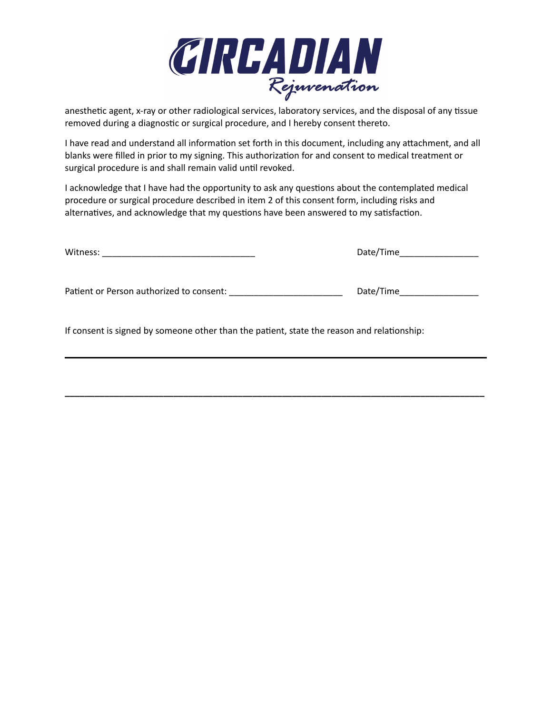

anesthetic agent, x-ray or other radiological services, laboratory services, and the disposal of any tissue removed during a diagnostic or surgical procedure, and I hereby consent thereto.

I have read and understand all information set forth in this document, including any attachment, and all blanks were filled in prior to my signing. This authorization for and consent to medical treatment or surgical procedure is and shall remain valid until revoked.

I acknowledge that I have had the opportunity to ask any questions about the contemplated medical procedure or surgical procedure described in item 2 of this consent form, including risks and alternatives, and acknowledge that my questions have been answered to my satisfaction.

Witness: \_\_\_\_\_\_\_\_\_\_\_\_\_\_\_\_\_\_\_\_\_\_\_\_\_\_\_\_\_\_\_ Date/Time\_\_\_\_\_\_\_\_\_\_\_\_\_\_\_\_

Patient or Person authorized to consent: \_\_\_\_\_\_\_\_\_\_\_\_\_\_\_\_\_\_\_\_\_\_\_ Date/Time\_\_\_\_\_\_\_\_\_\_\_\_\_\_\_\_

If consent is signed by someone other than the patient, state the reason and relationship:

**\_\_\_\_\_\_\_\_\_\_\_\_\_\_\_\_\_\_\_\_\_\_\_\_\_\_\_\_\_\_\_\_\_\_\_\_\_\_\_\_\_\_\_\_\_\_\_\_\_\_\_\_\_\_\_\_\_\_\_\_\_\_\_\_\_\_\_\_\_\_\_\_\_\_\_\_\_\_\_\_\_\_\_\_\_**